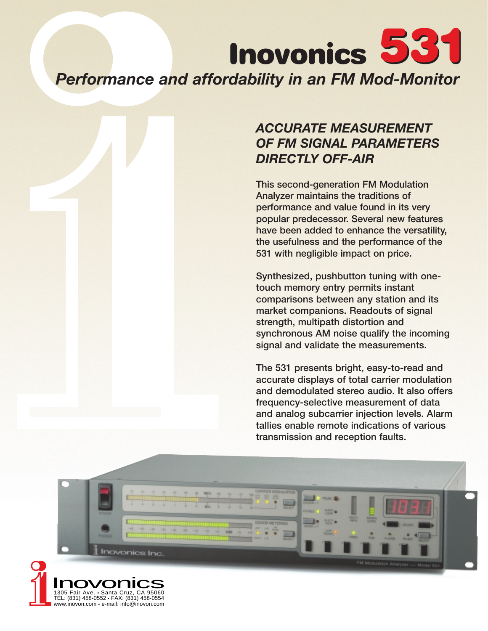

# *ACCURATE MEASUREMENT OF FM SIGNAL PARAMETERS DIRECTLY OFF-AIR*

**This second-generation FM Modulation Analyzer maintains the traditions of performance and value found in its very popular predecessor. Several new features have been added to enhance the versatility, the usefulness and the performance of the 531 with negligible impact on price.**

**Synthesized, pushbutton tuning with onetouch memory entry permits instant comparisons between any station and its market companions. Readouts of signal strength, multipath distortion and synchronous AM noise qualify the incoming signal and validate the measurements.**

**The 531 presents bright, easy-to-read and accurate displays of total carrier modulation and demodulated stereo audio. It also offers frequency-selective measurement of data and analog subcarrier injection levels. Alarm tallies enable remote indications of various transmission and reception faults.**



TEL: (831) 458-0552 • FAX: (831) 458-0554 www.inovon.com • e-mail: info@inovon.com